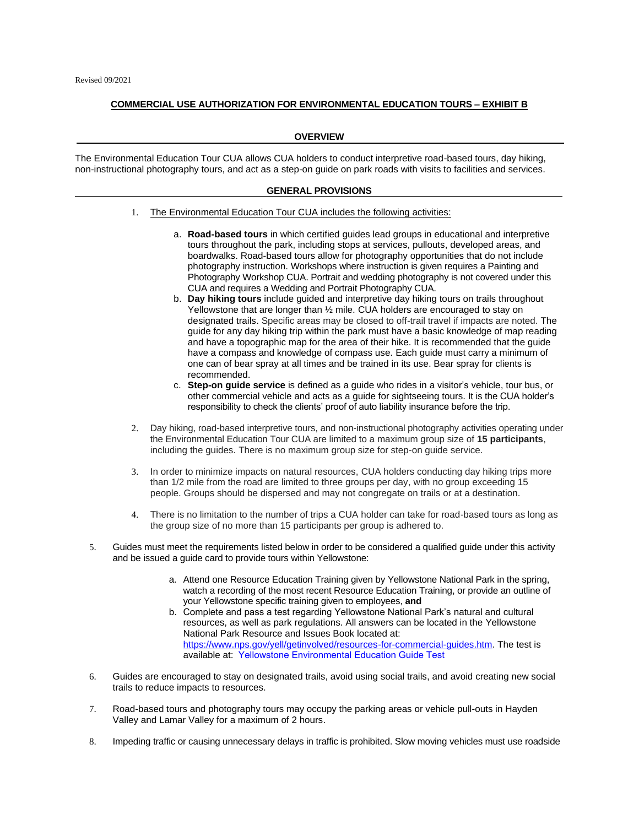## **COMMERCIAL USE AUTHORIZATION FOR ENVIRONMENTAL EDUCATION TOURS – EXHIBIT B**

## **OVERVIEW**

The Environmental Education Tour CUA allows CUA holders to conduct interpretive road-based tours, day hiking, non-instructional photography tours, and act as a step-on guide on park roads with visits to facilities and services.

## **GENERAL PROVISIONS**

- 1. The Environmental Education Tour CUA includes the following activities:
	- a. **Road-based tours** in which certified guides lead groups in educational and interpretive tours throughout the park, including stops at services, pullouts, developed areas, and boardwalks. Road-based tours allow for photography opportunities that do not include photography instruction. Workshops where instruction is given requires a Painting and Photography Workshop CUA. Portrait and wedding photography is not covered under this CUA and requires a Wedding and Portrait Photography CUA.
	- b. **Day hiking tours** include guided and interpretive day hiking tours on trails throughout Yellowstone that are longer than 1/2 mile. CUA holders are encouraged to stay on designated trails. Specific areas may be closed to off-trail travel if impacts are noted. The guide for any day hiking trip within the park must have a basic knowledge of map reading and have a topographic map for the area of their hike. It is recommended that the guide have a compass and knowledge of compass use. Each guide must carry a minimum of one can of bear spray at all times and be trained in its use. Bear spray for clients is recommended.
	- c. **Step-on guide service** is defined as a guide who rides in a visitor's vehicle, tour bus, or other commercial vehicle and acts as a guide for sightseeing tours. It is the CUA holder's responsibility to check the clients' proof of auto liability insurance before the trip.
- 2. Day hiking, road-based interpretive tours, and non-instructional photography activities operating under the Environmental Education Tour CUA are limited to a maximum group size of **15 participants**, including the guides. There is no maximum group size for step-on guide service.
- 3. In order to minimize impacts on natural resources, CUA holders conducting day hiking trips more than 1/2 mile from the road are limited to three groups per day, with no group exceeding 15 people. Groups should be dispersed and may not congregate on trails or at a destination.
- 4. There is no limitation to the number of trips a CUA holder can take for road-based tours as long as the group size of no more than 15 participants per group is adhered to.
- 5. Guides must meet the requirements listed below in order to be considered a qualified guide under this activity and be issued a guide card to provide tours within Yellowstone:
	- a. Attend one Resource Education Training given by Yellowstone National Park in the spring, watch a recording of the most recent Resource Education Training, or provide an outline of your Yellowstone specific training given to employees, **and**
	- b. Complete and pass a test regarding Yellowstone National Park's natural and cultural resources, as well as park regulations. All answers can be located in the Yellowstone National Park Resource and Issues Book located at: [https://www.nps.gov/yell/getinvolved/resources-for-commercial-guides.htm.](https://www.nps.gov/yell/getinvolved/resources-for-commercial-guides.htm) The test is available at: [Yellowstone Environmental Education Guide Test](https://forms.office.com/Pages/ResponsePage.aspx?id=urWTBhhLe02TQfMvQApUlEa6vwi9m3BAnE0qfIzmA5lUME5LOFk0RUtQMlpHUUhMNVQ2RUhZRFpXRS4u)
- 6. Guides are encouraged to stay on designated trails, avoid using social trails, and avoid creating new social trails to reduce impacts to resources.
- 7. Road-based tours and photography tours may occupy the parking areas or vehicle pull-outs in Hayden Valley and Lamar Valley for a maximum of 2 hours.
- 8. Impeding traffic or causing unnecessary delays in traffic is prohibited. Slow moving vehicles must use roadside